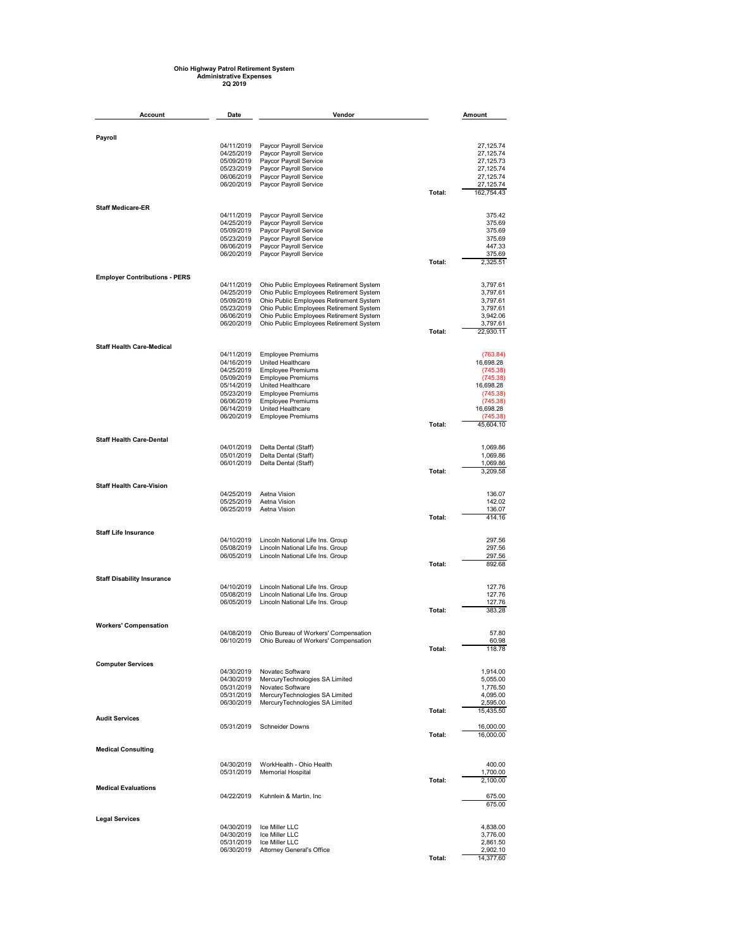## **Ohio Highway Patrol Retirement System Administrative Expenses 2Q 2019**

| <b>Account</b>                       | Date                     | Vendor                                                                             |        | Amount                 |  |  |
|--------------------------------------|--------------------------|------------------------------------------------------------------------------------|--------|------------------------|--|--|
|                                      |                          |                                                                                    |        |                        |  |  |
| Payroll                              |                          |                                                                                    |        |                        |  |  |
|                                      | 04/11/2019<br>04/25/2019 | Paycor Payroll Service<br>Paycor Payroll Service                                   |        | 27,125.74<br>27,125.74 |  |  |
|                                      | 05/09/2019               | Paycor Payroll Service                                                             |        | 27,125.73              |  |  |
|                                      | 05/23/2019               | Paycor Payroll Service                                                             |        | 27,125.74              |  |  |
|                                      | 06/06/2019               | Paycor Payroll Service                                                             |        | 27,125.74              |  |  |
|                                      | 06/20/2019               | Paycor Payroll Service                                                             |        | 27,125.74              |  |  |
|                                      |                          |                                                                                    | Total: | 162,754.43             |  |  |
| <b>Staff Medicare-ER</b>             | 04/11/2019               | Paycor Payroll Service                                                             |        | 375.42                 |  |  |
|                                      | 04/25/2019               | Paycor Payroll Service                                                             |        | 375.69                 |  |  |
|                                      | 05/09/2019               | Paycor Payroll Service                                                             |        | 375.69                 |  |  |
|                                      | 05/23/2019               | Paycor Payroll Service                                                             |        | 375.69                 |  |  |
|                                      | 06/06/2019               | Paycor Payroll Service                                                             |        | 447.33                 |  |  |
|                                      | 06/20/2019               | Paycor Payroll Service                                                             | Total: | 375.69<br>2,325.51     |  |  |
| <b>Employer Contributions - PERS</b> |                          |                                                                                    |        |                        |  |  |
|                                      | 04/11/2019               | Ohio Public Employees Retirement System                                            |        | 3,797.61               |  |  |
|                                      | 04/25/2019<br>05/09/2019 | Ohio Public Employees Retirement System                                            |        | 3,797.61               |  |  |
|                                      | 05/23/2019               | Ohio Public Employees Retirement System<br>Ohio Public Employees Retirement System |        | 3,797.61<br>3,797.61   |  |  |
|                                      | 06/06/2019               | Ohio Public Employees Retirement System                                            |        | 3,942.06               |  |  |
|                                      | 06/20/2019               | Ohio Public Employees Retirement System                                            |        | 3,797.61               |  |  |
|                                      |                          |                                                                                    | Total: | 22,930.11              |  |  |
| <b>Staff Health Care-Medical</b>     |                          |                                                                                    |        |                        |  |  |
|                                      | 04/11/2019<br>04/16/2019 | <b>Employee Premiums</b><br>United Healthcare                                      |        | (763.84)<br>16,698.28  |  |  |
|                                      | 04/25/2019               | <b>Employee Premiums</b>                                                           |        | (745.38)               |  |  |
|                                      | 05/09/2019               | <b>Employee Premiums</b>                                                           |        | (745.38)               |  |  |
|                                      | 05/14/2019               | United Healthcare                                                                  |        | 16,698.28              |  |  |
|                                      | 05/23/2019               | <b>Employee Premiums</b>                                                           |        | (745.38)               |  |  |
|                                      | 06/06/2019<br>06/14/2019 | <b>Employee Premiums</b>                                                           |        | (745.38)               |  |  |
|                                      | 06/20/2019               | United Healthcare<br><b>Employee Premiums</b>                                      |        | 16,698.28<br>(745.38)  |  |  |
|                                      |                          |                                                                                    | Total: | 45,604.10              |  |  |
| <b>Staff Health Care-Dental</b>      |                          |                                                                                    |        |                        |  |  |
|                                      | 04/01/2019               | Delta Dental (Staff)                                                               |        | 1,069.86               |  |  |
|                                      | 05/01/2019               | Delta Dental (Staff)                                                               |        | 1,069.86               |  |  |
|                                      | 06/01/2019               | Delta Dental (Staff)                                                               | Total: | 1,069.86<br>3,209.58   |  |  |
|                                      |                          |                                                                                    |        |                        |  |  |
| <b>Staff Health Care-Vision</b>      | 04/25/2019               | Aetna Vision                                                                       |        | 136.07                 |  |  |
|                                      | 05/25/2019               | Aetna Vision                                                                       |        | 142.02                 |  |  |
|                                      | 06/25/2019               | Aetna Vision                                                                       | Total: | 136.07<br>414.16       |  |  |
|                                      |                          |                                                                                    |        |                        |  |  |
| <b>Staff Life Insurance</b>          | 04/10/2019               | Lincoln National Life Ins. Group                                                   |        | 297.56                 |  |  |
|                                      | 05/08/2019               | Lincoln National Life Ins. Group                                                   |        | 297.56                 |  |  |
|                                      | 06/05/2019               | Lincoln National Life Ins. Group                                                   |        | 297.56                 |  |  |
|                                      |                          |                                                                                    | Total: | 892.68                 |  |  |
| <b>Staff Disability Insurance</b>    | 04/10/2019               | Lincoln National Life Ins. Group                                                   |        | 127.76                 |  |  |
|                                      | 05/08/2019               | Lincoln National Life Ins. Group                                                   |        | 127.76                 |  |  |
|                                      | 06/05/2019               | Lincoln National Life Ins. Group                                                   |        | 127.76                 |  |  |
|                                      |                          |                                                                                    | Total: | 383.28                 |  |  |
| <b>Workers' Compensation</b>         |                          |                                                                                    |        |                        |  |  |
|                                      | 04/08/2019<br>06/10/2019 | Ohio Bureau of Workers' Compensation<br>Ohio Bureau of Workers' Compensation       |        | 57.80<br>60.98         |  |  |
|                                      |                          |                                                                                    | Total: | 118.78                 |  |  |
| <b>Computer Services</b>             |                          |                                                                                    |        |                        |  |  |
|                                      | 04/30/2019<br>04/30/2019 | Novatec Software<br>MercuryTechnologies SA Limited                                 |        | 1,914.00<br>5,055.00   |  |  |
|                                      | 05/31/2019               | Novatec Software                                                                   |        | 1,776.50               |  |  |
|                                      | 05/31/2019               | MercuryTechnologies SA Limited                                                     |        | 4,095.00               |  |  |
|                                      | 06/30/2019               | MercuryTechnologies SA Limited                                                     |        | 2,595.00               |  |  |
| <b>Audit Services</b>                |                          |                                                                                    | Total: | 15,435.50              |  |  |
|                                      | 05/31/2019               | <b>Schneider Downs</b>                                                             |        | 16,000.00              |  |  |
|                                      |                          |                                                                                    | Total: | 16,000.00              |  |  |
| <b>Medical Consulting</b>            |                          |                                                                                    |        |                        |  |  |
|                                      | 04/30/2019               | WorkHealth - Ohio Health                                                           |        | 400.00                 |  |  |
|                                      | 05/31/2019               | <b>Memorial Hospital</b>                                                           | Total: | 1,700.00<br>2,100.00   |  |  |
| <b>Medical Evaluations</b>           | 04/22/2019               | Kuhnlein & Martin, Inc.                                                            |        | 675.00                 |  |  |
|                                      |                          |                                                                                    |        | 675.00                 |  |  |
| <b>Legal Services</b>                |                          |                                                                                    |        |                        |  |  |
|                                      | 04/30/2019               | Ice Miller LLC                                                                     |        | 4,838.00               |  |  |
|                                      | 04/30/2019<br>05/31/2019 | Ice Miller LLC<br>Ice Miller LLC                                                   |        | 3,776.00<br>2,861.50   |  |  |
|                                      | 06/30/2019               | <b>Attorney General's Office</b>                                                   |        | 2,902.10               |  |  |
|                                      |                          |                                                                                    | Total: | 14,377.60              |  |  |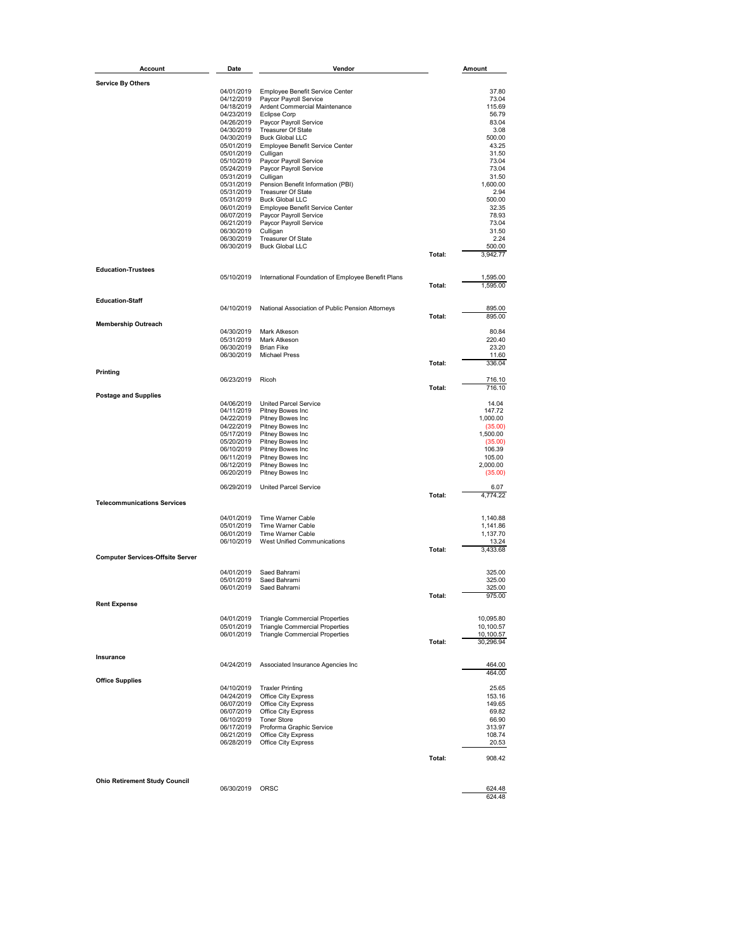| Account                                 | Date       | Vendor                                             |        | Amount    |
|-----------------------------------------|------------|----------------------------------------------------|--------|-----------|
|                                         |            |                                                    |        |           |
| <b>Service By Others</b>                |            |                                                    |        |           |
|                                         | 04/01/2019 | Employee Benefit Service Center                    |        | 37.80     |
|                                         | 04/12/2019 | Paycor Payroll Service                             |        | 73.04     |
|                                         | 04/18/2019 | Ardent Commercial Maintenance                      |        | 115.69    |
|                                         | 04/23/2019 | <b>Eclipse Corp</b>                                |        | 56.79     |
|                                         | 04/26/2019 | Paycor Payroll Service                             |        | 83.04     |
|                                         | 04/30/2019 | <b>Treasurer Of State</b>                          |        | 3.08      |
|                                         | 04/30/2019 | <b>Buck Global LLC</b>                             |        | 500.00    |
|                                         | 05/01/2019 | Employee Benefit Service Center                    |        | 43.25     |
|                                         | 05/01/2019 | Culligan                                           |        | 31.50     |
|                                         | 05/10/2019 | Paycor Payroll Service                             |        | 73.04     |
|                                         | 05/24/2019 | Paycor Payroll Service                             |        | 73.04     |
|                                         | 05/31/2019 | Culligan                                           |        | 31.50     |
|                                         | 05/31/2019 | Pension Benefit Information (PBI)                  |        | 1,600.00  |
|                                         | 05/31/2019 | Treasurer Of State                                 |        | 2.94      |
|                                         | 05/31/2019 | <b>Buck Global LLC</b>                             |        | 500.00    |
|                                         | 06/01/2019 | Employee Benefit Service Center                    |        | 32.35     |
|                                         | 06/07/2019 | Paycor Payroll Service                             |        | 78.93     |
|                                         | 06/21/2019 | Paycor Payroll Service                             |        | 73.04     |
|                                         | 06/30/2019 | Culligan                                           |        | 31.50     |
|                                         | 06/30/2019 | Treasurer Of State                                 |        | 2.24      |
|                                         | 06/30/2019 | <b>Buck Global LLC</b>                             |        | 500.00    |
|                                         |            |                                                    | Total: | 3,942.77  |
|                                         |            |                                                    |        |           |
| <b>Education-Trustees</b>               |            |                                                    |        |           |
|                                         | 05/10/2019 | International Foundation of Employee Benefit Plans |        | 1,595.00  |
|                                         |            |                                                    | Total: | 1,595.00  |
|                                         |            |                                                    |        |           |
| <b>Education-Staff</b>                  |            |                                                    |        |           |
|                                         | 04/10/2019 | National Association of Public Pension Attorneys   |        | 895.00    |
|                                         |            |                                                    | Total: | 895.00    |
| <b>Membership Outreach</b>              |            |                                                    |        |           |
|                                         | 04/30/2019 | Mark Atkeson                                       |        | 80.84     |
|                                         | 05/31/2019 | Mark Atkeson                                       |        | 220.40    |
|                                         | 06/30/2019 | <b>Brian Fike</b>                                  |        | 23.20     |
|                                         | 06/30/2019 | <b>Michael Press</b>                               |        | 11.60     |
|                                         |            |                                                    | Total: | 336.04    |
| Printing                                |            |                                                    |        |           |
|                                         | 06/23/2019 | Ricoh                                              |        | 716.10    |
|                                         |            |                                                    | Total: | 716.10    |
| <b>Postage and Supplies</b>             |            |                                                    |        |           |
|                                         | 04/06/2019 | <b>United Parcel Service</b>                       |        | 14.04     |
|                                         | 04/11/2019 | Pitney Bowes Inc                                   |        | 147.72    |
|                                         | 04/22/2019 | Pitney Bowes Inc                                   |        | 1,000.00  |
|                                         | 04/22/2019 | Pitney Bowes Inc                                   |        | (35.00)   |
|                                         | 05/17/2019 | Pitney Bowes Inc                                   |        | 1,500.00  |
|                                         | 05/20/2019 | Pitney Bowes Inc                                   |        | (35.00)   |
|                                         | 06/10/2019 | Pitney Bowes Inc                                   |        | 106.39    |
|                                         | 06/11/2019 | Pitney Bowes Inc                                   |        | 105.00    |
|                                         | 06/12/2019 | Pitney Bowes Inc                                   |        | 2,000.00  |
|                                         | 06/20/2019 | Pitney Bowes Inc                                   |        | (35.00)   |
|                                         |            |                                                    |        |           |
|                                         | 06/29/2019 | <b>United Parcel Service</b>                       | Total: | 6.07      |
| <b>Telecommunications Services</b>      |            |                                                    |        | 4,774.22  |
|                                         |            |                                                    |        |           |
|                                         | 04/01/2019 | <b>Time Warner Cable</b>                           |        | 1,140.88  |
|                                         | 05/01/2019 | Time Warner Cable                                  |        | 1,141.86  |
|                                         | 06/01/2019 | Time Warner Cable                                  |        | 1,137.70  |
|                                         | 06/10/2019 | <b>West Unified Communications</b>                 |        | 13.24     |
|                                         |            |                                                    | Total: | 3,433.68  |
| <b>Computer Services-Offsite Server</b> |            |                                                    |        |           |
|                                         |            |                                                    |        |           |
|                                         | 04/01/2019 | Saed Bahrami                                       |        | 325.00    |
|                                         | 05/01/2019 | Saed Bahrami                                       |        | 325.00    |
|                                         | 06/01/2019 | Saed Bahrami                                       |        | 325.00    |
|                                         |            |                                                    | Total: | 975.00    |
| <b>Rent Expense</b>                     |            |                                                    |        |           |
|                                         |            |                                                    |        |           |
|                                         | 04/01/2019 | <b>Triangle Commercial Properties</b>              |        | 10,095.80 |
|                                         | 05/01/2019 | <b>Triangle Commercial Properties</b>              |        | 10,100.57 |
|                                         | 06/01/2019 | <b>Triangle Commercial Properties</b>              |        | 10,100.57 |
|                                         |            |                                                    | Total: | 30,296.94 |
|                                         |            |                                                    |        |           |
| Insurance                               |            |                                                    |        |           |
|                                         | 04/24/2019 | Associated Insurance Agencies Inc                  |        | 464.00    |
|                                         |            |                                                    |        | 464.00    |
| <b>Office Supplies</b>                  |            |                                                    |        |           |
|                                         | 04/10/2019 | <b>Traxler Printing</b>                            |        | 25.65     |
|                                         | 04/24/2019 | Office City Express                                |        | 153.16    |
|                                         | 06/07/2019 | Office City Express                                |        | 149.65    |
|                                         | 06/07/2019 | Office City Express                                |        | 69.82     |
|                                         | 06/10/2019 | <b>Toner Store</b>                                 |        | 66.90     |
|                                         | 06/17/2019 | Proforma Graphic Service                           |        | 313.97    |
|                                         | 06/21/2019 | Office City Express                                |        | 108.74    |
|                                         | 06/28/2019 | Office City Express                                |        | 20.53     |
|                                         |            |                                                    |        |           |
|                                         |            |                                                    | Total: | 908.42    |
|                                         |            |                                                    |        |           |
|                                         |            |                                                    |        |           |
| <b>Ohio Retirement Study Council</b>    |            |                                                    |        |           |
|                                         | 06/30/2019 | ORSC                                               |        | 624.48    |
|                                         |            |                                                    |        | 624.48    |